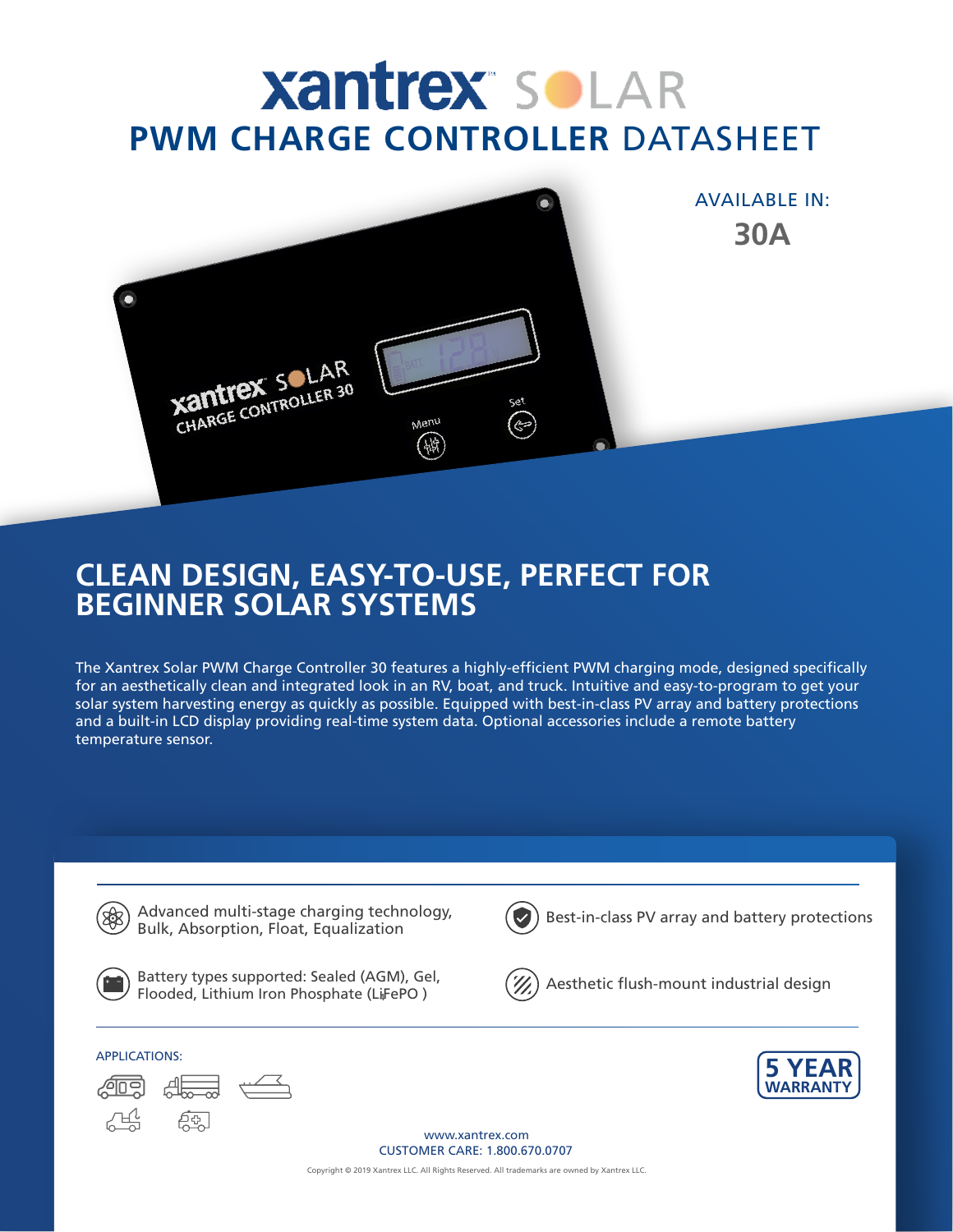# **Xantrex SoLAR PWM CHARGE CONTROLLER** DATASHEET



# **CLEAN DESIGN, EASY-TO-USE, PERFECT FOR BEGINNER SOLAR SYSTEMS**

The Xantrex Solar PWM Charge Controller 30 features a highly-efficient PWM charging mode, designed specifically for an aesthetically clean and integrated look in an RV, boat, and truck. Intuitive and easy-to-program to get your solar system harvesting energy as quickly as possible. Equipped with best-in-class PV array and battery protections and a built-in LCD display providing real-time system data. Optional accessories include a remote battery temperature sensor.



Advanced multi-stage charging technology, Bulk, Absorption, Float, Equalization



Battery types supported: Sealed (AGM), Gel, Flooded, Lithium Iron Phosphate (LiFePO ) **4**



Best-in-class PV array and battery protections



Aesthetic flush-mount industrial design





र्मुकू



www.xantrex.com CUSTOMER CARE: 1.800.670.0707

Copyright © 2019 Xantrex LLC. All Rights Reserved. All trademarks are owned by Xantrex LLC.